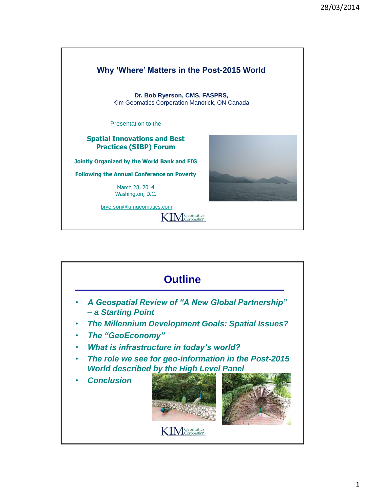

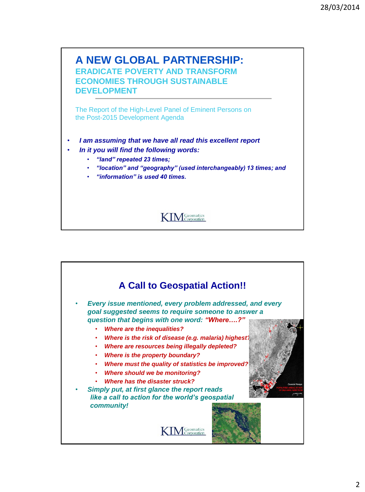

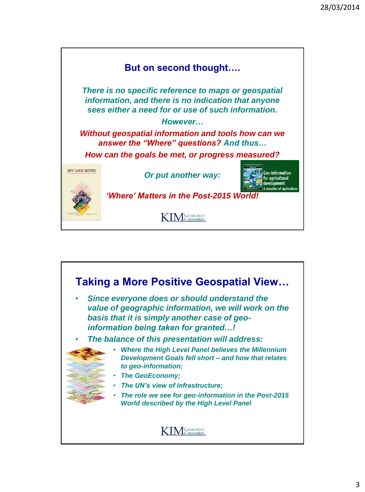

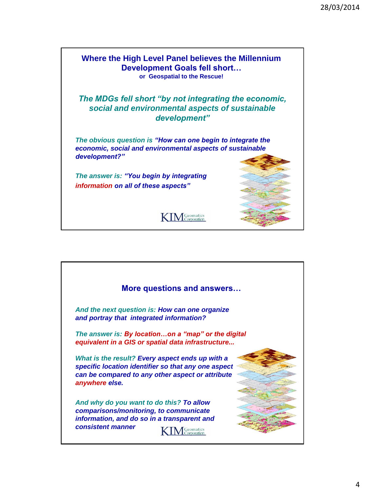

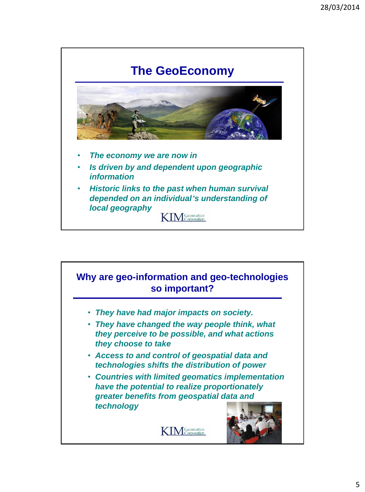

## **Why are geo-information and geo-technologies so important?**

- *They have had major impacts on society.*
- *They have changed the way people think, what they perceive to be possible, and what actions they choose to take*
- *Access to and control of geospatial data and technologies shifts the distribution of power*
- *Countries with limited geomatics implementation have the potential to realize proportionately greater benefits from geospatial data and technology*



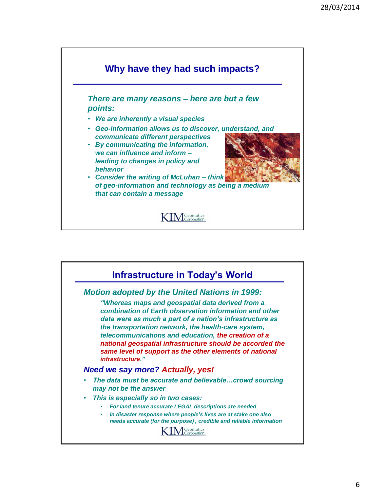

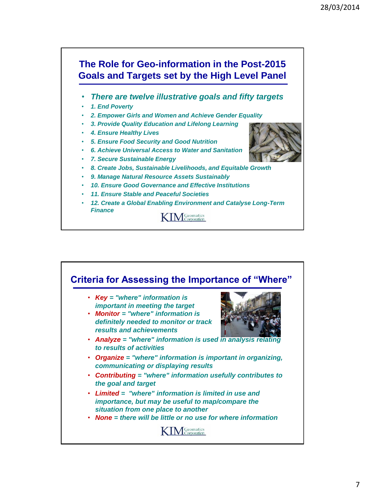

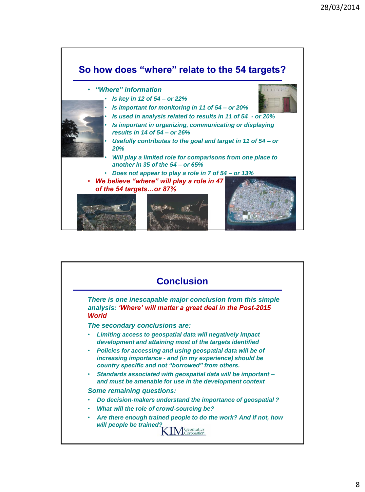